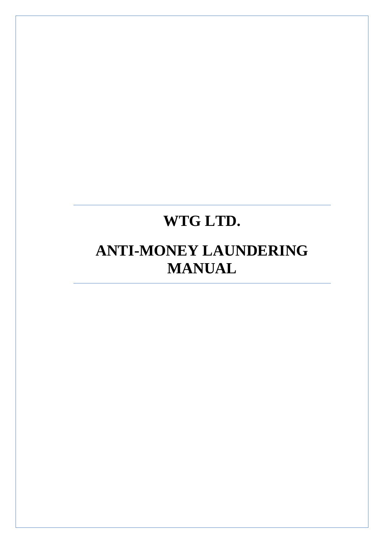# **WTG LTD.**

 $\overline{a}$ 

## **ANTI-MONEY LAUNDERING MANUAL**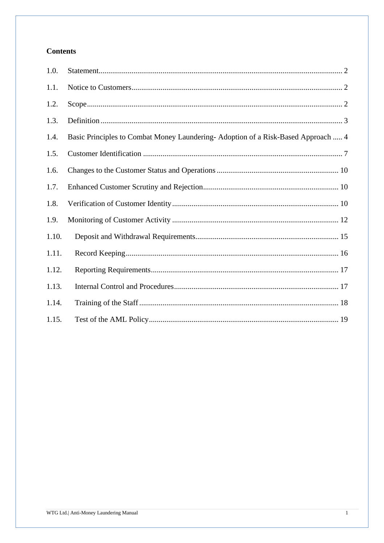## **Contents**

| 1.0.  |                                                                                  |
|-------|----------------------------------------------------------------------------------|
| 1.1.  |                                                                                  |
| 1.2.  |                                                                                  |
| 1.3.  |                                                                                  |
| 1.4.  | Basic Principles to Combat Money Laundering-Adoption of a Risk-Based Approach  4 |
| 1.5.  |                                                                                  |
| 1.6.  |                                                                                  |
| 1.7.  |                                                                                  |
| 1.8.  |                                                                                  |
| 1.9.  |                                                                                  |
| 1.10. |                                                                                  |
| 1.11. |                                                                                  |
| 1.12. |                                                                                  |
| 1.13. |                                                                                  |
| 1.14. |                                                                                  |
| 1.15. |                                                                                  |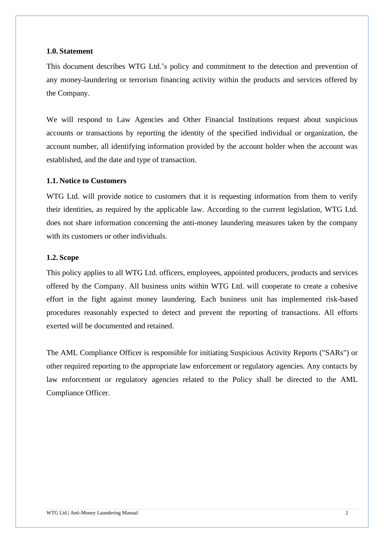#### <span id="page-2-0"></span>**1.0. Statement**

This document describes WTG Ltd.'s policy and commitment to the detection and prevention of any money-laundering or terrorism financing activity within the products and services offered by the Company.

We will respond to Law Agencies and Other Financial Institutions request about suspicious accounts or transactions by reporting the identity of the specified individual or organization, the account number, all identifying information provided by the account holder when the account was established, and the date and type of transaction.

#### <span id="page-2-1"></span>**1.1. Notice to Customers**

WTG Ltd. will provide notice to customers that it is requesting information from them to verify their identities, as required by the applicable law. According to the current legislation, WTG Ltd. does not share information concerning the anti-money laundering measures taken by the company with its customers or other individuals.

#### <span id="page-2-2"></span>**1.2. Scope**

This policy applies to all WTG Ltd. officers, employees, appointed producers, products and services offered by the Company. All business units within WTG Ltd. will cooperate to create a cohesive effort in the fight against money laundering. Each business unit has implemented risk-based procedures reasonably expected to detect and prevent the reporting of transactions. All efforts exerted will be documented and retained.

The AML Compliance Officer is responsible for initiating Suspicious Activity Reports ("SARs") or other required reporting to the appropriate law enforcement or regulatory agencies. Any contacts by law enforcement or regulatory agencies related to the Policy shall be directed to the AML Compliance Officer.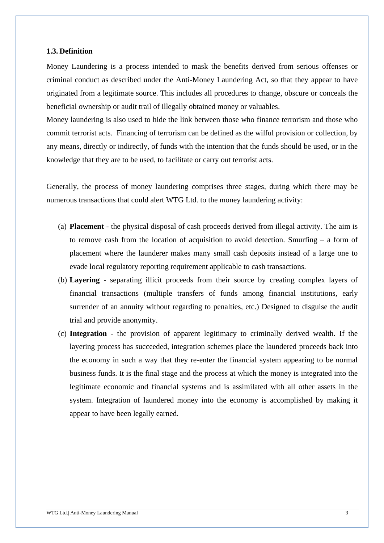#### <span id="page-3-0"></span>**1.3. Definition**

Money Laundering is a process intended to mask the benefits derived from serious offenses or criminal conduct as described under the Anti-Money Laundering Act, so that they appear to have originated from a legitimate source. This includes all procedures to change, obscure or conceals the beneficial ownership or audit trail of illegally obtained money or valuables.

Money laundering is also used to hide the link between those who finance terrorism and those who commit terrorist acts. Financing of terrorism can be defined as the wilful provision or collection, by any means, directly or indirectly, of funds with the intention that the funds should be used, or in the knowledge that they are to be used, to facilitate or carry out terrorist acts.

Generally, the process of money laundering comprises three stages, during which there may be numerous transactions that could alert WTG Ltd. to the money laundering activity:

- (a) **Placement** the physical disposal of cash proceeds derived from illegal activity. The aim is to remove cash from the location of acquisition to avoid detection. Smurfing – a form of placement where the launderer makes many small cash deposits instead of a large one to evade local regulatory reporting requirement applicable to cash transactions.
- (b) **Layering**  separating illicit proceeds from their source by creating complex layers of financial transactions (multiple transfers of funds among financial institutions, early surrender of an annuity without regarding to penalties, etc.) Designed to disguise the audit trial and provide anonymity.
- (c) **Integration**  the provision of apparent legitimacy to criminally derived wealth. If the layering process has succeeded, integration schemes place the laundered proceeds back into the economy in such a way that they re-enter the financial system appearing to be normal business funds. It is the final stage and the process at which the money is integrated into the legitimate economic and financial systems and is assimilated with all other assets in the system. Integration of laundered money into the economy is accomplished by making it appear to have been legally earned.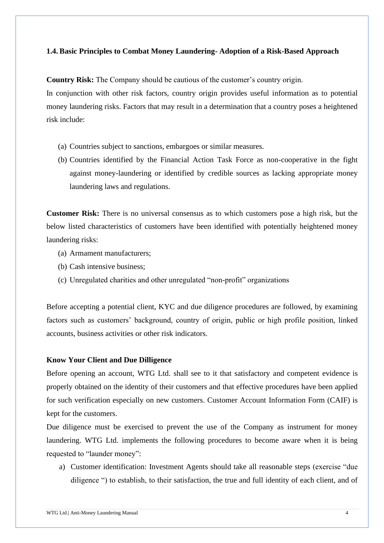### <span id="page-4-0"></span>**1.4. Basic Principles to Combat Money Laundering- Adoption of a Risk-Based Approach**

**Country Risk:** The Company should be cautious of the customer's country origin.

In conjunction with other risk factors, country origin provides useful information as to potential money laundering risks. Factors that may result in a determination that a country poses a heightened risk include:

- (a) Countries subject to sanctions, embargoes or similar measures.
- (b) Countries identified by the Financial Action Task Force as non-cooperative in the fight against money-laundering or identified by credible sources as lacking appropriate money laundering laws and regulations.

**Customer Risk:** There is no universal consensus as to which customers pose a high risk, but the below listed characteristics of customers have been identified with potentially heightened money laundering risks:

- (a) Armament manufacturers;
- (b) Cash intensive business;
- (c) Unregulated charities and other unregulated "non-profit" organizations

Before accepting a potential client, KYC and due diligence procedures are followed, by examining factors such as customers' background, country of origin, public or high profile position, linked accounts, business activities or other risk indicators.

## **Know Your Client and Due Dilligence**

Before opening an account, WTG Ltd. shall see to it that satisfactory and competent evidence is properly obtained on the identity of their customers and that effective procedures have been applied for such verification especially on new customers. Customer Account Information Form (CAIF) is kept for the customers.

Due diligence must be exercised to prevent the use of the Company as instrument for money laundering. WTG Ltd. implements the following procedures to become aware when it is being requested to "launder money":

a) Customer identification: Investment Agents should take all reasonable steps (exercise "due diligence ") to establish, to their satisfaction, the true and full identity of each client, and of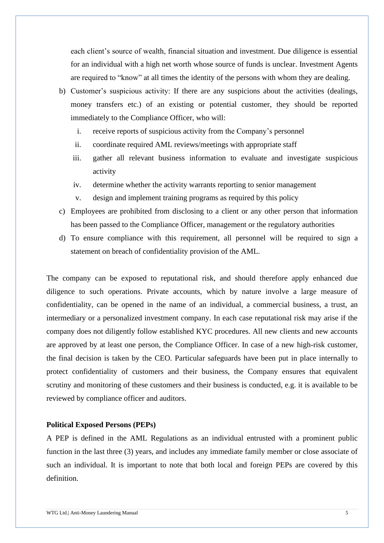each client's source of wealth, financial situation and investment. Due diligence is essential for an individual with a high net worth whose source of funds is unclear. Investment Agents are required to "know" at all times the identity of the persons with whom they are dealing.

- b) Customer's suspicious activity: If there are any suspicions about the activities (dealings, money transfers etc.) of an existing or potential customer, they should be reported immediately to the Compliance Officer, who will:
	- i. receive reports of suspicious activity from the Company's personnel
	- ii. coordinate required AML reviews/meetings with appropriate staff
	- iii. gather all relevant business information to evaluate and investigate suspicious activity
	- iv. determine whether the activity warrants reporting to senior management
	- v. design and implement training programs as required by this policy
- c) Employees are prohibited from disclosing to a client or any other person that information has been passed to the Compliance Officer, management or the regulatory authorities
- d) To ensure compliance with this requirement, all personnel will be required to sign a statement on breach of confidentiality provision of the AML.

The company can be exposed to reputational risk, and should therefore apply enhanced due diligence to such operations. Private accounts, which by nature involve a large measure of confidentiality, can be opened in the name of an individual, a commercial business, a trust, an intermediary or a personalized investment company. In each case reputational risk may arise if the company does not diligently follow established KYC procedures. All new clients and new accounts are approved by at least one person, the Compliance Officer. In case of a new high-risk customer, the final decision is taken by the CEO. Particular safeguards have been put in place internally to protect confidentiality of customers and their business, the Company ensures that equivalent scrutiny and monitoring of these customers and their business is conducted, e.g. it is available to be reviewed by compliance officer and auditors.

#### **Political Exposed Persons (PEPs)**

A PEP is defined in the AML Regulations as an individual entrusted with a prominent public function in the last three (3) years, and includes any immediate family member or close associate of such an individual. It is important to note that both local and foreign PEPs are covered by this definition.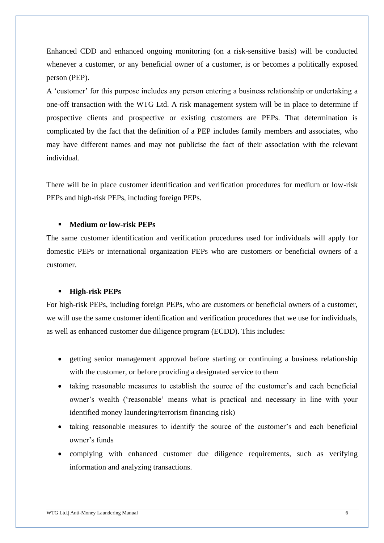Enhanced CDD and enhanced ongoing monitoring (on a risk-sensitive basis) will be conducted whenever a customer, or any beneficial owner of a customer, is or becomes a politically exposed person (PEP).

A 'customer' for this purpose includes any person entering a business relationship or undertaking a one-off transaction with the WTG Ltd. A risk management system will be in place to determine if prospective clients and prospective or existing customers are PEPs. That determination is complicated by the fact that the definition of a PEP includes family members and associates, who may have different names and may not publicise the fact of their association with the relevant individual.

There will be in place customer identification and verification procedures for medium or low-risk PEPs and high-risk PEPs, including foreign PEPs.

#### ▪ **Medium or low-risk PEPs**

The same customer identification and verification procedures used for individuals will apply for domestic PEPs or international organization PEPs who are customers or beneficial owners of a customer.

#### ▪ **High-risk PEPs**

For high-risk PEPs, including foreign PEPs, who are customers or beneficial owners of a customer, we will use the same customer identification and verification procedures that we use for individuals, as well as enhanced customer due diligence program (ECDD). This includes:

- getting senior management approval before starting or continuing a business relationship with the customer, or before providing a designated service to them
- taking reasonable measures to establish the source of the customer's and each beneficial owner's wealth ('reasonable' means what is practical and necessary in line with your identified money laundering/terrorism financing risk)
- taking reasonable measures to identify the source of the customer's and each beneficial owner's funds
- complying with enhanced customer due diligence requirements, such as verifying information and analyzing transactions.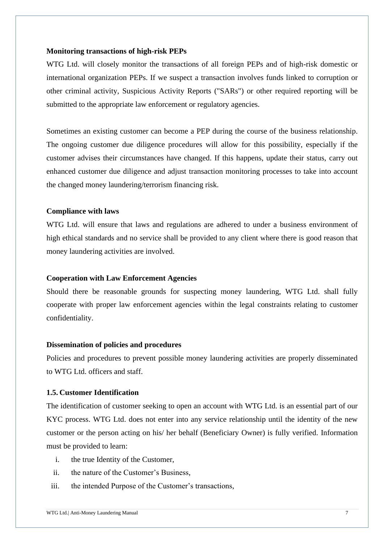#### **Monitoring transactions of high-risk PEPs**

WTG Ltd. will closely monitor the transactions of all foreign PEPs and of high-risk domestic or international organization PEPs. If we suspect a transaction involves funds linked to corruption or other criminal activity, Suspicious Activity Reports ("SARs") or other required reporting will be submitted to the appropriate law enforcement or regulatory agencies.

Sometimes an existing customer can become a PEP during the course of the business relationship. The ongoing customer due diligence procedures will allow for this possibility, especially if the customer advises their circumstances have changed. If this happens, update their status, carry out enhanced customer due diligence and adjust transaction monitoring processes to take into account the changed money laundering/terrorism financing risk.

#### **Compliance with laws**

WTG Ltd. will ensure that laws and regulations are adhered to under a business environment of high ethical standards and no service shall be provided to any client where there is good reason that money laundering activities are involved.

#### **Cooperation with Law Enforcement Agencies**

Should there be reasonable grounds for suspecting money laundering, WTG Ltd. shall fully cooperate with proper law enforcement agencies within the legal constraints relating to customer confidentiality.

#### **Dissemination of policies and procedures**

Policies and procedures to prevent possible money laundering activities are properly disseminated to WTG Ltd. officers and staff.

## <span id="page-7-0"></span>**1.5. Customer Identification**

The identification of customer seeking to open an account with WTG Ltd. is an essential part of our KYC process. WTG Ltd. does not enter into any service relationship until the identity of the new customer or the person acting on his/ her behalf (Beneficiary Owner) is fully verified. Information must be provided to learn:

- i. the true Identity of the Customer,
- ii. the nature of the Customer's Business,
- iii. the intended Purpose of the Customer's transactions,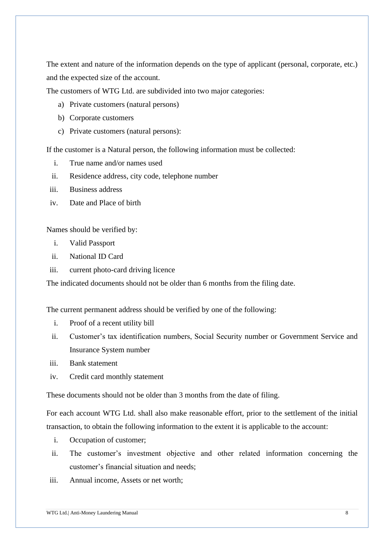The extent and nature of the information depends on the type of applicant (personal, corporate, etc.) and the expected size of the account.

The customers of WTG Ltd. are subdivided into two major categories:

- a) Private customers (natural persons)
- b) Corporate customers
- c) Private customers (natural persons):

If the customer is a Natural person, the following information must be collected:

- i. True name and/or names used
- ii. Residence address, city code, telephone number
- iii. Business address
- iv. Date and Place of birth

Names should be verified by:

- i. Valid Passport
- ii. National ID Card
- iii. current photo-card driving licence

The indicated documents should not be older than 6 months from the filing date.

The current permanent address should be verified by one of the following:

- i. Proof of a recent utility bill
- ii. Customer's tax identification numbers, Social Security number or Government Service and Insurance System number
- iii. Bank statement
- iv. Credit card monthly statement

These documents should not be older than 3 months from the date of filing.

For each account WTG Ltd. shall also make reasonable effort, prior to the settlement of the initial transaction, to obtain the following information to the extent it is applicable to the account:

- i. Occupation of customer;
- ii. The customer's investment objective and other related information concerning the customer's financial situation and needs;
- iii. Annual income, Assets or net worth;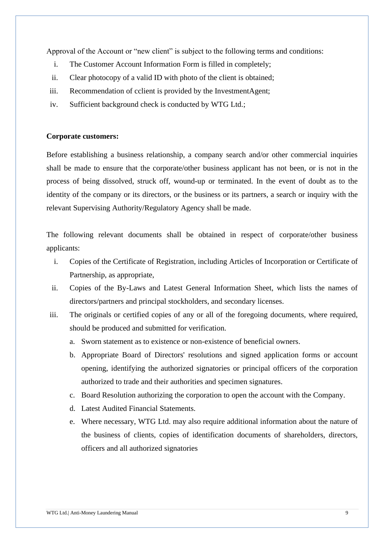Approval of the Account or "new client" is subject to the following terms and conditions:

- i. The Customer Account Information Form is filled in completely;
- ii. Clear photocopy of a valid ID with photo of the client is obtained;
- iii. Recommendation of cclient is provided by the InvestmentAgent;
- iv. Sufficient background check is conducted by WTG Ltd.;

#### **Corporate customers:**

Before establishing a business relationship, a company search and/or other commercial inquiries shall be made to ensure that the corporate/other business applicant has not been, or is not in the process of being dissolved, struck off, wound-up or terminated. In the event of doubt as to the identity of the company or its directors, or the business or its partners, a search or inquiry with the relevant Supervising Authority/Regulatory Agency shall be made.

The following relevant documents shall be obtained in respect of corporate/other business applicants:

- i. Copies of the Certificate of Registration, including Articles of Incorporation or Certificate of Partnership, as appropriate,
- ii. Copies of the By-Laws and Latest General Information Sheet, which lists the names of directors/partners and principal stockholders, and secondary licenses.
- iii. The originals or certified copies of any or all of the foregoing documents, where required, should be produced and submitted for verification.
	- a. Sworn statement as to existence or non-existence of beneficial owners.
	- b. Appropriate Board of Directors' resolutions and signed application forms or account opening, identifying the authorized signatories or principal officers of the corporation authorized to trade and their authorities and specimen signatures.
	- c. Board Resolution authorizing the corporation to open the account with the Company.
	- d. Latest Audited Financial Statements.
	- e. Where necessary, WTG Ltd. may also require additional information about the nature of the business of clients, copies of identification documents of shareholders, directors, officers and all authorized signatories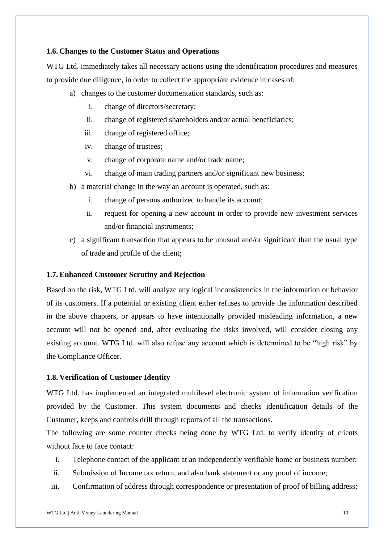#### <span id="page-10-0"></span>**1.6. Changes to the Customer Status and Operations**

WTG Ltd. immediately takes all necessary actions using the identification procedures and measures to provide due diligence, in order to collect the appropriate evidence in cases of:

- a) changes to the customer documentation standards, such as:
	- i. change of directors/secretary;
	- ii. change of registered shareholders and/or actual beneficiaries;
	- iii. change of registered office;
	- iv. change of trustees;
	- v. change of corporate name and/or trade name;
	- vi. change of main trading partners and/or significant new business;
- b) a material change in the way an account is operated, such as:
	- i. change of persons authorized to handle its account;
	- ii. request for opening a new account in order to provide new investment services and/or financial instruments;
- c) a significant transaction that appears to be unusual and/or significant than the usual type of trade and profile of the client;

## <span id="page-10-1"></span>**1.7. Enhanced Customer Scrutiny and Rejection**

Based on the risk, WTG Ltd. will analyze any logical inconsistencies in the information or behavior of its customers. If a potential or existing client either refuses to provide the information described in the above chapters, or appears to have intentionally provided misleading information, a new account will not be opened and, after evaluating the risks involved, will consider closing any existing account. WTG Ltd. will also refuse any account which is determined to be "high risk" by the Compliance Officer.

## <span id="page-10-2"></span>**1.8. Verification of Customer Identity**

WTG Ltd. has implemented an integrated multilevel electronic system of information verification provided by the Customer. This system documents and checks identification details of the Customer, keeps and controls drill through reports of all the transactions.

The following are some counter checks being done by WTG Ltd. to verify identity of clients without face to face contact:

- i. Telephone contact of the applicant at an independently verifiable home or business number;
- ii. Submission of Income tax return, and also bank statement or any proof of income;
- iii. Confirmation of address through correspondence or presentation of proof of billing address;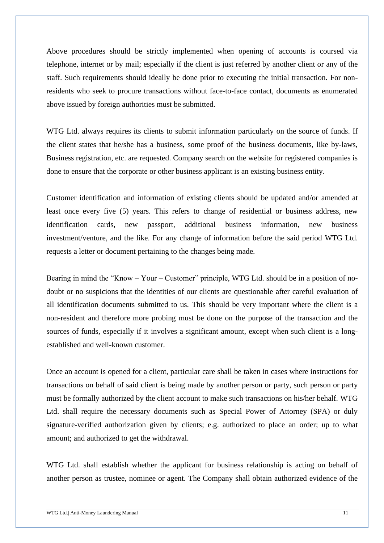Above procedures should be strictly implemented when opening of accounts is coursed via telephone, internet or by mail; especially if the client is just referred by another client or any of the staff. Such requirements should ideally be done prior to executing the initial transaction. For nonresidents who seek to procure transactions without face-to-face contact, documents as enumerated above issued by foreign authorities must be submitted.

WTG Ltd. always requires its clients to submit information particularly on the source of funds. If the client states that he/she has a business, some proof of the business documents, like by-laws, Business registration, etc. are requested. Company search on the website for registered companies is done to ensure that the corporate or other business applicant is an existing business entity.

Customer identification and information of existing clients should be updated and/or amended at least once every five (5) years. This refers to change of residential or business address, new identification cards, new passport, additional business information, new business investment/venture, and the like. For any change of information before the said period WTG Ltd. requests a letter or document pertaining to the changes being made.

Bearing in mind the "Know – Your – Customer" principle, WTG Ltd. should be in a position of nodoubt or no suspicions that the identities of our clients are questionable after careful evaluation of all identification documents submitted to us. This should be very important where the client is a non-resident and therefore more probing must be done on the purpose of the transaction and the sources of funds, especially if it involves a significant amount, except when such client is a longestablished and well-known customer.

Once an account is opened for a client, particular care shall be taken in cases where instructions for transactions on behalf of said client is being made by another person or party, such person or party must be formally authorized by the client account to make such transactions on his/her behalf. WTG Ltd. shall require the necessary documents such as Special Power of Attorney (SPA) or duly signature-verified authorization given by clients; e.g. authorized to place an order; up to what amount; and authorized to get the withdrawal.

WTG Ltd. shall establish whether the applicant for business relationship is acting on behalf of another person as trustee, nominee or agent. The Company shall obtain authorized evidence of the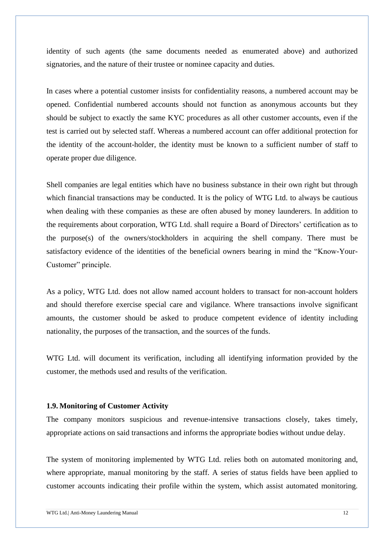identity of such agents (the same documents needed as enumerated above) and authorized signatories, and the nature of their trustee or nominee capacity and duties.

In cases where a potential customer insists for confidentiality reasons, a numbered account may be opened. Confidential numbered accounts should not function as anonymous accounts but they should be subject to exactly the same KYC procedures as all other customer accounts, even if the test is carried out by selected staff. Whereas a numbered account can offer additional protection for the identity of the account-holder, the identity must be known to a sufficient number of staff to operate proper due diligence.

Shell companies are legal entities which have no business substance in their own right but through which financial transactions may be conducted. It is the policy of WTG Ltd. to always be cautious when dealing with these companies as these are often abused by money launderers. In addition to the requirements about corporation, WTG Ltd. shall require a Board of Directors' certification as to the purpose(s) of the owners/stockholders in acquiring the shell company. There must be satisfactory evidence of the identities of the beneficial owners bearing in mind the "Know-Your-Customer" principle.

As a policy, WTG Ltd. does not allow named account holders to transact for non-account holders and should therefore exercise special care and vigilance. Where transactions involve significant amounts, the customer should be asked to produce competent evidence of identity including nationality, the purposes of the transaction, and the sources of the funds.

WTG Ltd. will document its verification, including all identifying information provided by the customer, the methods used and results of the verification.

#### <span id="page-12-0"></span>**1.9. Monitoring of Customer Activity**

The company monitors suspicious and revenue-intensive transactions closely, takes timely, appropriate actions on said transactions and informs the appropriate bodies without undue delay.

The system of monitoring implemented by WTG Ltd. relies both on automated monitoring and, where appropriate, manual monitoring by the staff. A series of status fields have been applied to customer accounts indicating their profile within the system, which assist automated monitoring.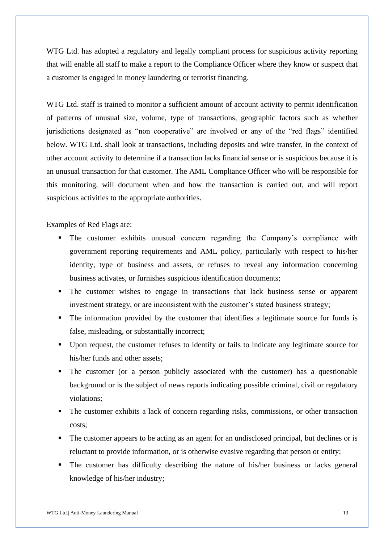WTG Ltd. has adopted a regulatory and legally compliant process for suspicious activity reporting that will enable all staff to make a report to the Compliance Officer where they know or suspect that a customer is engaged in money laundering or terrorist financing.

WTG Ltd. staff is trained to monitor a sufficient amount of account activity to permit identification of patterns of unusual size, volume, type of transactions, geographic factors such as whether jurisdictions designated as "non cooperative" are involved or any of the "red flags" identified below. WTG Ltd. shall look at transactions, including deposits and wire transfer, in the context of other account activity to determine if a transaction lacks financial sense or is suspicious because it is an unusual transaction for that customer. The AML Compliance Officer who will be responsible for this monitoring, will document when and how the transaction is carried out, and will report suspicious activities to the appropriate authorities.

Examples of Red Flags are:

- The customer exhibits unusual concern regarding the Company's compliance with government reporting requirements and AML policy, particularly with respect to his/her identity, type of business and assets, or refuses to reveal any information concerning business activates, or furnishes suspicious identification documents;
- The customer wishes to engage in transactions that lack business sense or apparent investment strategy, or are inconsistent with the customer's stated business strategy;
- The information provided by the customer that identifies a legitimate source for funds is false, misleading, or substantially incorrect;
- Upon request, the customer refuses to identify or fails to indicate any legitimate source for his/her funds and other assets;
- The customer (or a person publicly associated with the customer) has a questionable background or is the subject of news reports indicating possible criminal, civil or regulatory violations;
- The customer exhibits a lack of concern regarding risks, commissions, or other transaction costs;
- The customer appears to be acting as an agent for an undisclosed principal, but declines or is reluctant to provide information, or is otherwise evasive regarding that person or entity;
- The customer has difficulty describing the nature of his/her business or lacks general knowledge of his/her industry;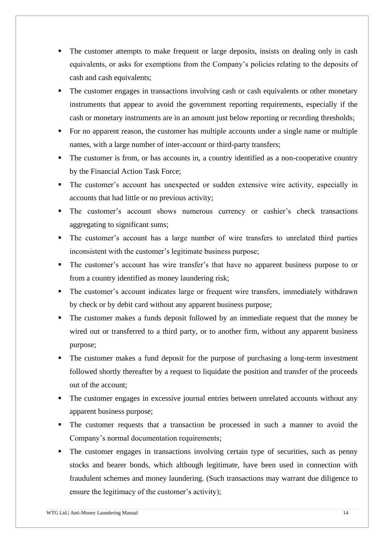- The customer attempts to make frequent or large deposits, insists on dealing only in cash equivalents, or asks for exemptions from the Company's policies relating to the deposits of cash and cash equivalents;
- **•** The customer engages in transactions involving cash or cash equivalents or other monetary instruments that appear to avoid the government reporting requirements, especially if the cash or monetary instruments are in an amount just below reporting or recording thresholds;
- For no apparent reason, the customer has multiple accounts under a single name or multiple names, with a large number of inter-account or third-party transfers;
- The customer is from, or has accounts in, a country identified as a non-cooperative country by the Financial Action Task Force;
- The customer's account has unexpected or sudden extensive wire activity, especially in accounts that had little or no previous activity;
- **·** The customer's account shows numerous currency or cashier's check transactions aggregating to significant sums;
- The customer's account has a large number of wire transfers to unrelated third parties inconsistent with the customer's legitimate business purpose;
- The customer's account has wire transfer's that have no apparent business purpose to or from a country identified as money laundering risk;
- The customer's account indicates large or frequent wire transfers, immediately withdrawn by check or by debit card without any apparent business purpose;
- The customer makes a funds deposit followed by an immediate request that the money be wired out or transferred to a third party, or to another firm, without any apparent business purpose;
- The customer makes a fund deposit for the purpose of purchasing a long-term investment followed shortly thereafter by a request to liquidate the position and transfer of the proceeds out of the account;
- The customer engages in excessive journal entries between unrelated accounts without any apparent business purpose;
- The customer requests that a transaction be processed in such a manner to avoid the Company's normal documentation requirements;
- The customer engages in transactions involving certain type of securities, such as penny stocks and bearer bonds, which although legitimate, have been used in connection with fraudulent schemes and money laundering. (Such transactions may warrant due diligence to ensure the legitimacy of the customer's activity);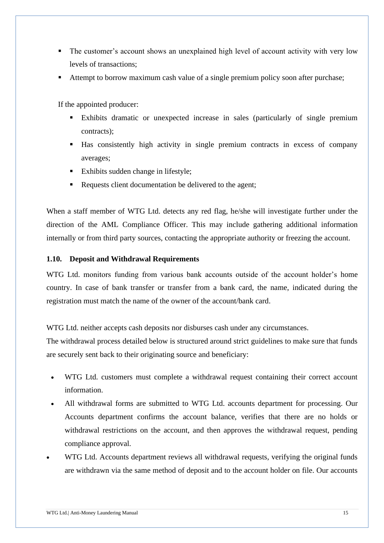- The customer's account shows an unexplained high level of account activity with very low levels of transactions;
- Attempt to borrow maximum cash value of a single premium policy soon after purchase;

If the appointed producer:

- Exhibits dramatic or unexpected increase in sales (particularly of single premium contracts);
- Has consistently high activity in single premium contracts in excess of company averages;
- Exhibits sudden change in lifestyle;
- Requests client documentation be delivered to the agent;

When a staff member of WTG Ltd. detects any red flag, he/she will investigate further under the direction of the AML Compliance Officer. This may include gathering additional information internally or from third party sources, contacting the appropriate authority or freezing the account.

## <span id="page-15-0"></span>**1.10. Deposit and Withdrawal Requirements**

WTG Ltd. monitors funding from various bank accounts outside of the account holder's home country. In case of bank transfer or transfer from a bank card, the name, indicated during the registration must match the name of the owner of the account/bank card.

WTG Ltd. neither accepts cash deposits nor disburses cash under any circumstances.

The withdrawal process detailed below is structured around strict guidelines to make sure that funds are securely sent back to their originating source and beneficiary:

- WTG Ltd. customers must complete a withdrawal request containing their correct account information.
- All withdrawal forms are submitted to WTG Ltd. accounts department for processing. Our Accounts department confirms the account balance, verifies that there are no holds or withdrawal restrictions on the account, and then approves the withdrawal request, pending compliance approval.
- WTG Ltd. Accounts department reviews all withdrawal requests, verifying the original funds are withdrawn via the same method of deposit and to the account holder on file. Our accounts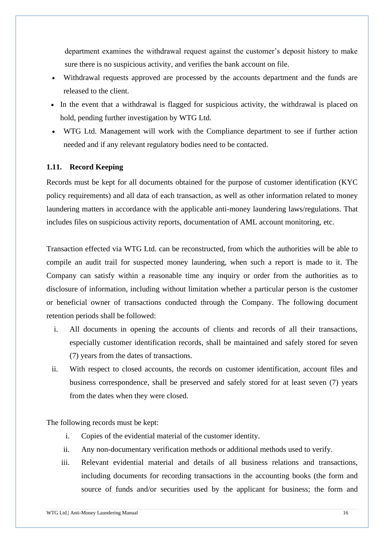department examines the withdrawal request against the customer's deposit history to make sure there is no suspicious activity, and verifies the bank account on file.

- Withdrawal requests approved are processed by the accounts department and the funds are released to the client.
- In the event that a withdrawal is flagged for suspicious activity, the withdrawal is placed on hold, pending further investigation by WTG Ltd.
- WTG Ltd. Management will work with the Compliance department to see if further action needed and if any relevant regulatory bodies need to be contacted.

#### <span id="page-16-0"></span>**1.11. Record Keeping**

Records must be kept for all documents obtained for the purpose of customer identification (KYC policy requirements) and all data of each transaction, as well as other information related to money laundering matters in accordance with the applicable anti-money laundering laws/regulations. That includes files on suspicious activity reports, documentation of AML account monitoring, etc.

Transaction effected via WTG Ltd. can be reconstructed, from which the authorities will be able to compile an audit trail for suspected money laundering, when such a report is made to it. The Company can satisfy within a reasonable time any inquiry or order from the authorities as to disclosure of information, including without limitation whether a particular person is the customer or beneficial owner of transactions conducted through the Company. The following document retention periods shall be followed:

- i. All documents in opening the accounts of clients and records of all their transactions, especially customer identification records, shall be maintained and safely stored for seven (7) years from the dates of transactions.
- ii. With respect to closed accounts, the records on customer identification, account files and business correspondence, shall be preserved and safely stored for at least seven (7) years from the dates when they were closed.

The following records must be kept:

- i. Copies of the evidential material of the customer identity.
- ii. Any non-documentary verification methods or additional methods used to verify.
- iii. Relevant evidential material and details of all business relations and transactions, including documents for recording transactions in the accounting books (the form and source of funds and/or securities used by the applicant for business; the form and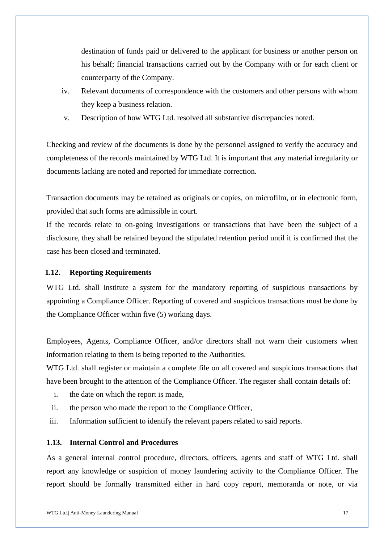destination of funds paid or delivered to the applicant for business or another person on his behalf; financial transactions carried out by the Company with or for each client or counterparty of the Company.

- iv. Relevant documents of correspondence with the customers and other persons with whom they keep a business relation.
- v. Description of how WTG Ltd. resolved all substantive discrepancies noted.

Checking and review of the documents is done by the personnel assigned to verify the accuracy and completeness of the records maintained by WTG Ltd. It is important that any material irregularity or documents lacking are noted and reported for immediate correction.

Transaction documents may be retained as originals or copies, on microfilm, or in electronic form, provided that such forms are admissible in court.

If the records relate to on-going investigations or transactions that have been the subject of a disclosure, they shall be retained beyond the stipulated retention period until it is confirmed that the case has been closed and terminated.

### <span id="page-17-0"></span>**1.12. Reporting Requirements**

WTG Ltd. shall institute a system for the mandatory reporting of suspicious transactions by appointing a Compliance Officer. Reporting of covered and suspicious transactions must be done by the Compliance Officer within five (5) working days.

Employees, Agents, Compliance Officer, and/or directors shall not warn their customers when information relating to them is being reported to the Authorities.

WTG Ltd. shall register or maintain a complete file on all covered and suspicious transactions that have been brought to the attention of the Compliance Officer. The register shall contain details of:

- i. the date on which the report is made,
- ii. the person who made the report to the Compliance Officer,
- iii. Information sufficient to identify the relevant papers related to said reports.

#### <span id="page-17-1"></span>**1.13. Internal Control and Procedures**

As a general internal control procedure, directors, officers, agents and staff of WTG Ltd. shall report any knowledge or suspicion of money laundering activity to the Compliance Officer. The report should be formally transmitted either in hard copy report, memoranda or note, or via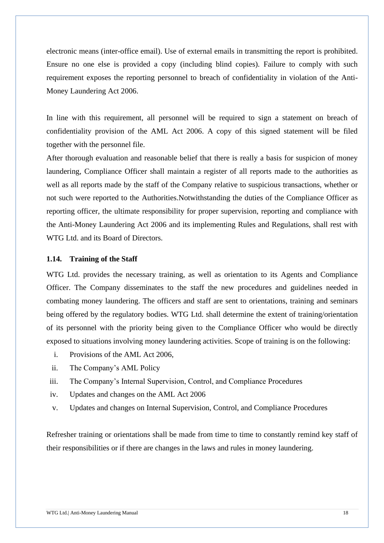electronic means (inter-office email). Use of external emails in transmitting the report is prohibited. Ensure no one else is provided a copy (including blind copies). Failure to comply with such requirement exposes the reporting personnel to breach of confidentiality in violation of the Anti-Money Laundering Act 2006.

In line with this requirement, all personnel will be required to sign a statement on breach of confidentiality provision of the AML Act 2006. A copy of this signed statement will be filed together with the personnel file.

After thorough evaluation and reasonable belief that there is really a basis for suspicion of money laundering, Compliance Officer shall maintain a register of all reports made to the authorities as well as all reports made by the staff of the Company relative to suspicious transactions, whether or not such were reported to the Authorities.Notwithstanding the duties of the Compliance Officer as reporting officer, the ultimate responsibility for proper supervision, reporting and compliance with the Anti-Money Laundering Act 2006 and its implementing Rules and Regulations, shall rest with WTG Ltd. and its Board of Directors.

#### <span id="page-18-0"></span>**1.14. Training of the Staff**

WTG Ltd. provides the necessary training, as well as orientation to its Agents and Compliance Officer. The Company disseminates to the staff the new procedures and guidelines needed in combating money laundering. The officers and staff are sent to orientations, training and seminars being offered by the regulatory bodies. WTG Ltd. shall determine the extent of training/orientation of its personnel with the priority being given to the Compliance Officer who would be directly exposed to situations involving money laundering activities. Scope of training is on the following:

- i. Provisions of the AML Act 2006,
- ii. The Company's AML Policy
- iii. The Company's Internal Supervision, Control, and Compliance Procedures
- iv. Updates and changes on the AML Act 2006
- v. Updates and changes on Internal Supervision, Control, and Compliance Procedures

Refresher training or orientations shall be made from time to time to constantly remind key staff of their responsibilities or if there are changes in the laws and rules in money laundering.